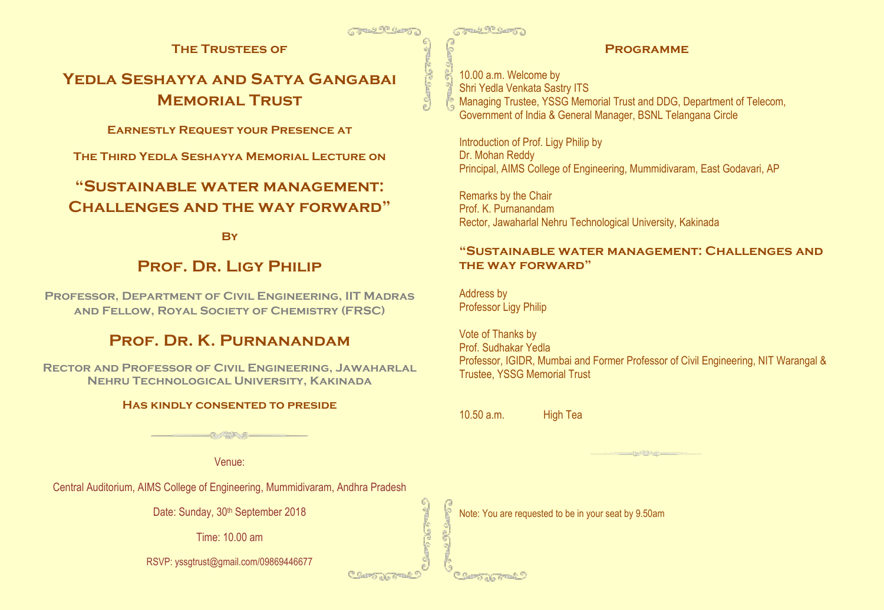**The Trustees of**

# **Yedla Seshayya and Satya Gangabai Memorial Trust**

**Earnestly Request your Presence at**

**The Third Yedla Seshayya Memorial Lecture on**

# **"Sustainable water management: Challenges and the way forward"**

**By**

# **Prof. Dr. Ligy Philip**

**Professor, Department of Civil Engineering, IIT Madras and Fellow, Royal Society of Chemistry (FRSC)** 

# **Prof. Dr. K. Purnanandam**

**Rector and Professor of Civil Engineering, Jawaharlal Nehru Technological University, Kakinada**

### **Has kindly consented to preside**

**GUASSIANUELL** 

Venue:

Central Auditorium, AIMS College of Engineering, Mummidivaram, Andhra Pradesh

Date: Sunday, 30<sup>th</sup> September 2018

Time: 10.00 am

RSVP: yssgtrust@gmail.com/09869446677

**TRAD TO CAST!** 

### **Programme**

10.00 a.m. Welcome by Shri Yedla Venkata Sastry ITS Managing Trustee, YSSG Memorial Trust and DDG, Department of Telecom, Government of India & General Manager, BSNL Telangana Circle

Introduction of Prof. Ligy Philip by Dr. Mohan Reddy Principal, AIMS College of Engineering, Mummidivaram, East Godavari, AP

Remarks by the Chair Prof. K. Purnanandam Rector, Jawaharlal Nehru Technological University, Kakinada

### **"Sustainable water management: Challenges and the way forward"**

Address by Professor Ligy Philip

Vote of Thanks by Prof. Sudhakar Yedla Professor, IGIDR, Mumbai and Former Professor of Civil Engineering, NIT Warangal & Trustee, YSSG Memorial Trust

10.50 a.m. High Tea

Note: You are requested to be in your seat by 9.50am

B